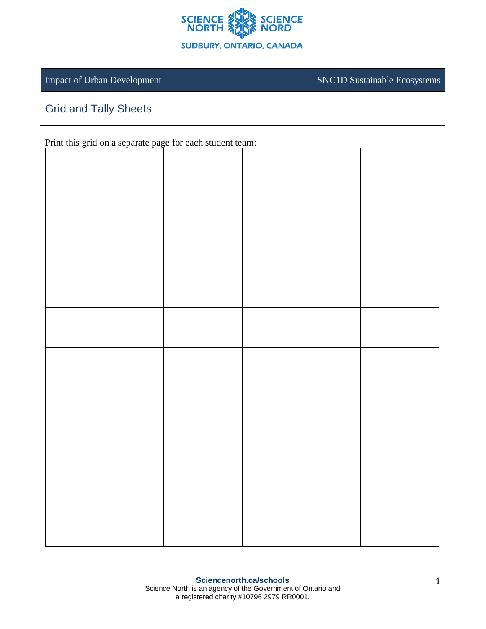

Impact of Urban Development SNC1D Sustainable Ecosystems

## Grid and Tally Sheets

Print this grid on a separate page for each student team: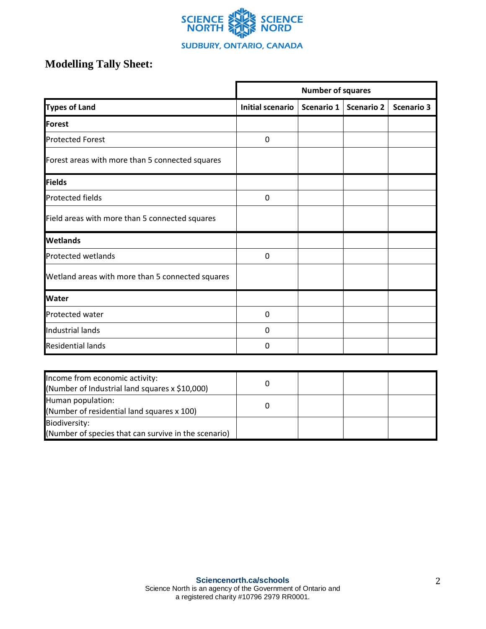

## **Modelling Tally Sheet:**

|                                                  | <b>Number of squares</b> |            |                   |                   |  |  |
|--------------------------------------------------|--------------------------|------------|-------------------|-------------------|--|--|
| <b>Types of Land</b>                             | Initial scenario         | Scenario 1 | <b>Scenario 2</b> | <b>Scenario 3</b> |  |  |
| <b>Forest</b>                                    |                          |            |                   |                   |  |  |
| <b>Protected Forest</b>                          | 0                        |            |                   |                   |  |  |
| Forest areas with more than 5 connected squares  |                          |            |                   |                   |  |  |
| <b>Fields</b>                                    |                          |            |                   |                   |  |  |
| <b>Protected fields</b>                          | 0                        |            |                   |                   |  |  |
| Field areas with more than 5 connected squares   |                          |            |                   |                   |  |  |
| <b>Wetlands</b>                                  |                          |            |                   |                   |  |  |
| Protected wetlands                               | $\mathbf 0$              |            |                   |                   |  |  |
| Wetland areas with more than 5 connected squares |                          |            |                   |                   |  |  |
| <b>Water</b>                                     |                          |            |                   |                   |  |  |
| Protected water                                  | $\mathbf 0$              |            |                   |                   |  |  |
| Industrial lands                                 | 0                        |            |                   |                   |  |  |
| <b>Residential lands</b>                         | 0                        |            |                   |                   |  |  |

| Income from economic activity:<br>(Number of Industrial land squares x \$10,000) |  |  |
|----------------------------------------------------------------------------------|--|--|
| Human population:<br>(Number of residential land squares x 100)                  |  |  |
| Biodiversity:<br>(Number of species that can survive in the scenario)            |  |  |